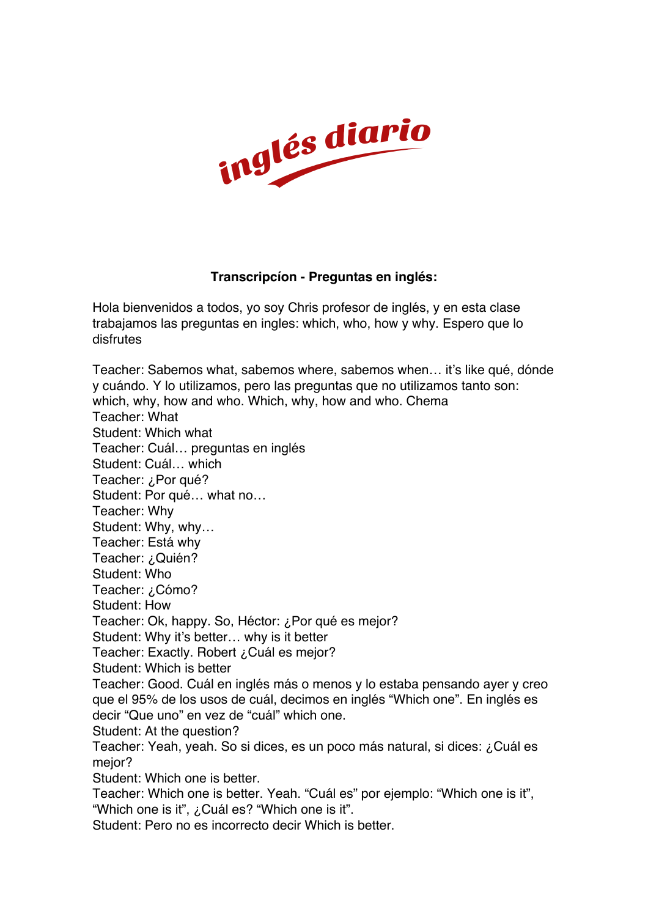

## **Transcripcíon - Preguntas en inglés:**

Hola bienvenidos a todos, yo soy Chris profesor de inglés, y en esta clase trabajamos las preguntas en ingles: which, who, how y why. Espero que lo disfrutes

Teacher: Sabemos what, sabemos where, sabemos when… it's like qué, dónde y cuándo. Y lo utilizamos, pero las preguntas que no utilizamos tanto son: which, why, how and who. Which, why, how and who. Chema Teacher: What Student: Which what Teacher: Cuál… preguntas en inglés Student: Cuál… which Teacher: ¿Por qué? Student: Por qué… what no… Teacher: Why Student: Why, why… Teacher: Está why Teacher: ¿Quién? Student: Who Teacher: ¿Cómo? Student: How Teacher: Ok, happy. So, Héctor: ¿Por qué es mejor? Student: Why it's better… why is it better Teacher: Exactly. Robert ¿Cuál es mejor? Student: Which is better Teacher: Good. Cuál en inglés más o menos y lo estaba pensando ayer y creo que el 95% de los usos de cuál, decimos en inglés "Which one". En inglés es decir "Que uno" en vez de "cuál" which one. Student: At the question? Teacher: Yeah, yeah. So si dices, es un poco más natural, si dices: ¿Cuál es mejor? Student: Which one is better. Teacher: Which one is better. Yeah. "Cuál es" por ejemplo: "Which one is it", "Which one is it", ¿Cuál es? "Which one is it". Student: Pero no es incorrecto decir Which is better.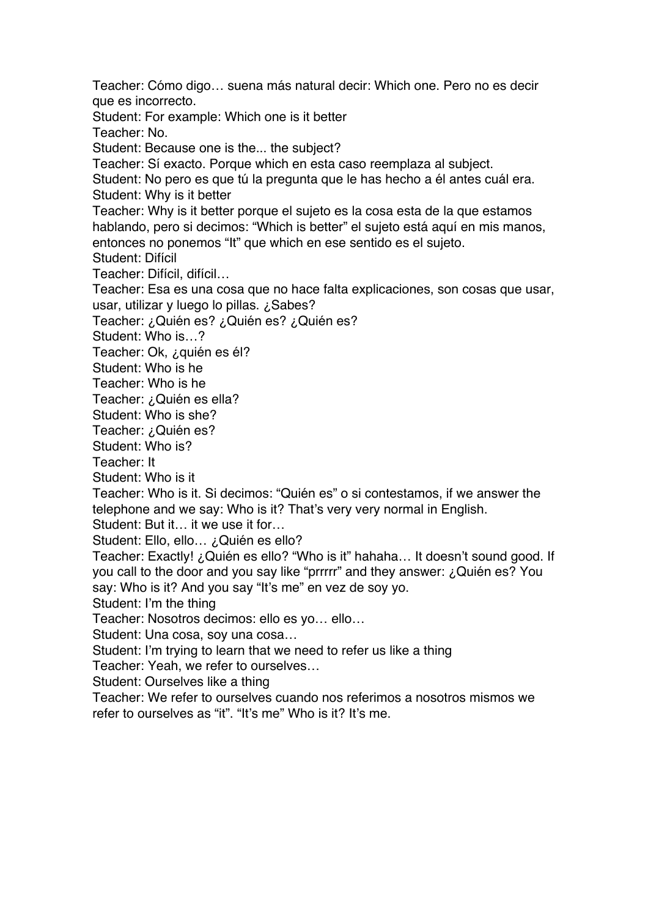Teacher: Cómo digo… suena más natural decir: Which one. Pero no es decir que es incorrecto.

Student: For example: Which one is it better

Teacher: No.

Student: Because one is the... the subject?

Teacher: Sí exacto. Porque which en esta caso reemplaza al subject.

Student: No pero es que tú la pregunta que le has hecho a él antes cuál era. Student: Why is it better

Teacher: Why is it better porque el sujeto es la cosa esta de la que estamos hablando, pero si decimos: "Which is better" el sujeto está aquí en mis manos, entonces no ponemos "It" que which en ese sentido es el sujeto.

Student: Difícil

Teacher: Difícil, difícil…

Teacher: Esa es una cosa que no hace falta explicaciones, son cosas que usar, usar, utilizar y luego lo pillas. ¿Sabes?

Teacher: ¿Quién es? ¿Quién es? ¿Quién es?

Student: Who is…?

Teacher: Ok, ¿quién es él?

Student: Who is he

Teacher: Who is he

Teacher: ¿Quién es ella?

Student: Who is she?

Teacher: ¿Quién es?

Student: Who is?

Teacher: It

Student: Who is it

Teacher: Who is it. Si decimos: "Quién es" o si contestamos, if we answer the telephone and we say: Who is it? That's very very normal in English.

Student: But it… it we use it for…

Student: Ello, ello… ¿Quién es ello?

Teacher: Exactly! ¿Quién es ello? "Who is it" hahaha… It doesn't sound good. If you call to the door and you say like "prrrrr" and they answer: ¿Quién es? You say: Who is it? And you say "It's me" en vez de soy yo.

Student: I'm the thing

Teacher: Nosotros decimos: ello es yo… ello…

Student: Una cosa, soy una cosa…

Student: I'm trying to learn that we need to refer us like a thing

Teacher: Yeah, we refer to ourselves…

Student: Ourselves like a thing

Teacher: We refer to ourselves cuando nos referimos a nosotros mismos we refer to ourselves as "it". "It's me" Who is it? It's me.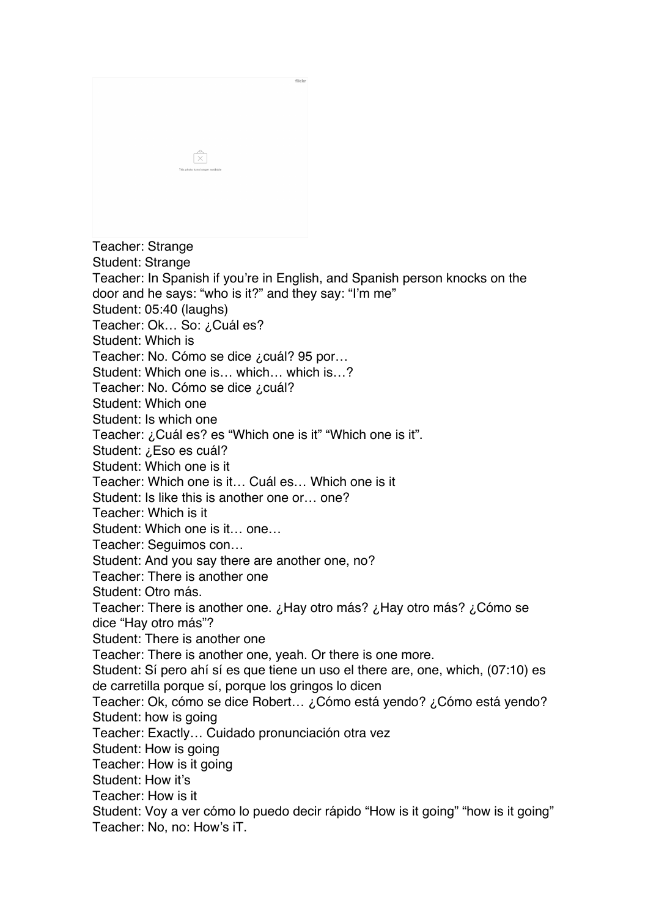|                                   | flickr |
|-----------------------------------|--------|
|                                   |        |
|                                   |        |
|                                   |        |
|                                   |        |
|                                   |        |
|                                   |        |
| $\frac{\infty}{ \chi }$           |        |
| This photo is no longer available |        |
|                                   |        |
|                                   |        |
|                                   |        |
|                                   |        |
|                                   |        |

Teacher: Strange

Student: Strange

Teacher: In Spanish if you're in English, and Spanish person knocks on the door and he says: "who is it?" and they say: "I'm me"

Student: 05:40 (laughs)

Teacher: Ok... So: ¿Cuál es?

Student: Which is

Teacher: No. Cómo se dice ¿cuál? 95 por…

Student: Which one is… which… which is…?

Teacher: No. Cómo se dice ¿cuál?

Student: Which one

Student: Is which one

Teacher: ¿Cuál es? es "Which one is it" "Which one is it".

Student: ¿Eso es cuál?

Student: Which one is it

Teacher: Which one is it… Cuál es… Which one is it

Student: Is like this is another one or… one?

Teacher: Which is it

Student: Which one is it… one…

Teacher: Seguimos con…

Student: And you say there are another one, no?

Teacher: There is another one

Student: Otro más.

Teacher: There is another one. ¿Hay otro más? ¿Hay otro más? ¿Cómo se dice "Hay otro más"?

Student: There is another one

Teacher: There is another one, yeah. Or there is one more.

Student: Sí pero ahí sí es que tiene un uso el there are, one, which, (07:10) es de carretilla porque sí, porque los gringos lo dicen

Teacher: Ok, cómo se dice Robert… ¿Cómo está yendo? ¿Cómo está yendo? Student: how is going

Teacher: Exactly… Cuidado pronunciación otra vez

Student: How is going

Teacher: How is it going

Student: How it's

Teacher: How is it

Student: Voy a ver cómo lo puedo decir rápido "How is it going" "how is it going" Teacher: No, no: How's iT.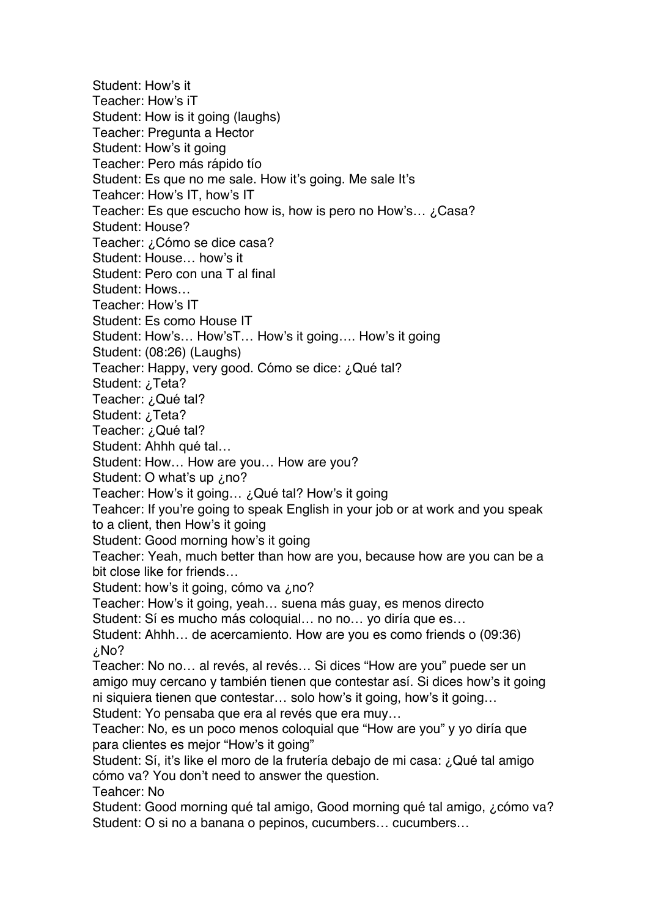Student: How's it Teacher: How's iT Student: How is it going (laughs) Teacher: Pregunta a Hector Student: How's it going Teacher: Pero más rápido tío Student: Es que no me sale. How it's going. Me sale It's Teahcer: How's IT, how's IT Teacher: Es que escucho how is, how is pero no How's... ¿Casa? Student: House? Teacher: ¿Cómo se dice casa? Student: House… how's it Student: Pero con una T al final Student: Hows… Teacher: How's IT Student: Es como House IT Student: How's… How'sT… How's it going…. How's it going Student: (08:26) (Laughs) Teacher: Happy, very good. Cómo se dice: ¿Qué tal? Student: ¿Teta? Teacher: ¿Qué tal? Student: ¿Teta? Teacher: ¿Qué tal? Student: Ahhh qué tal… Student: How… How are you… How are you? Student: O what's up ¿no? Teacher: How's it going… ¿Qué tal? How's it going Teahcer: If you're going to speak English in your job or at work and you speak to a client, then How's it going Student: Good morning how's it going Teacher: Yeah, much better than how are you, because how are you can be a bit close like for friends… Student: how's it going, cómo va ¿no? Teacher: How's it going, yeah… suena más guay, es menos directo Student: Sí es mucho más coloquial… no no… yo diría que es… Student: Ahhh… de acercamiento. How are you es como friends o (09:36) ¿No? Teacher: No no… al revés, al revés… Si dices "How are you" puede ser un amigo muy cercano y también tienen que contestar así. Si dices how's it going ni siquiera tienen que contestar… solo how's it going, how's it going… Student: Yo pensaba que era al revés que era muy… Teacher: No, es un poco menos coloquial que "How are you" y yo diría que para clientes es mejor "How's it going" Student: Sí, it's like el moro de la frutería debajo de mi casa: ¿Qué tal amigo cómo va? You don't need to answer the question. Teahcer: No Student: Good morning qué tal amigo, Good morning qué tal amigo, ¿cómo va? Student: O si no a banana o pepinos, cucumbers… cucumbers…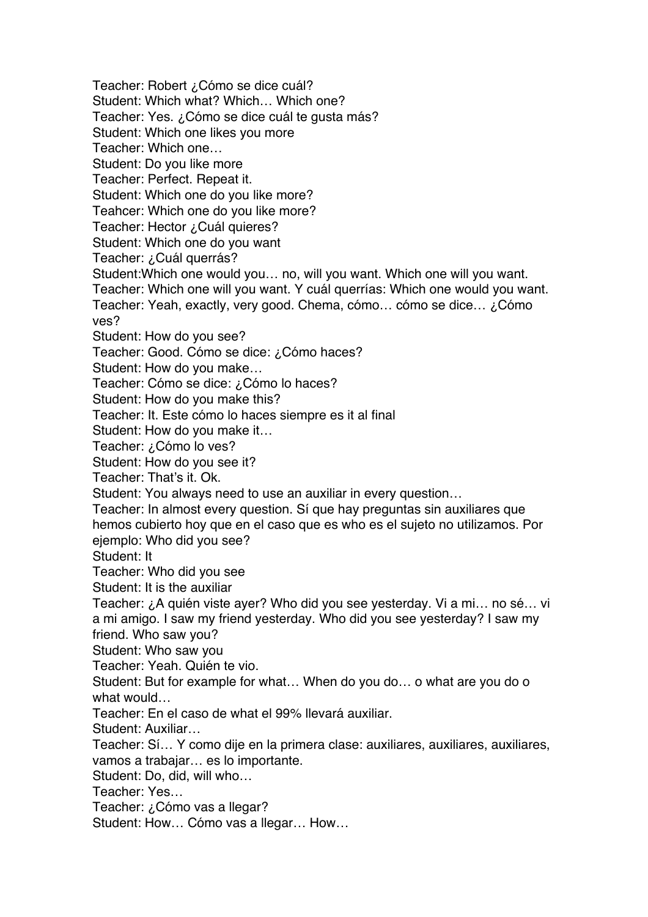Teacher: Robert ¿Cómo se dice cuál? Student: Which what? Which… Which one? Teacher: Yes. ¿Cómo se dice cuál te gusta más? Student: Which one likes you more Teacher: Which one… Student: Do you like more Teacher: Perfect. Repeat it. Student: Which one do you like more? Teahcer: Which one do you like more? Teacher: Hector ¿Cuál quieres? Student: Which one do you want Teacher: ¿Cuál querrás? Student:Which one would you… no, will you want. Which one will you want. Teacher: Which one will you want. Y cuál querrías: Which one would you want. Teacher: Yeah, exactly, very good. Chema, cómo… cómo se dice… ¿Cómo ves? Student: How do you see? Teacher: Good. Cómo se dice: ¿Cómo haces? Student: How do you make… Teacher: Cómo se dice: ¿Cómo lo haces? Student: How do you make this? Teacher: It. Este cómo lo haces siempre es it al final Student: How do you make it… Teacher: ¿Cómo lo ves? Student: How do you see it? Teacher: That's it. Ok. Student: You always need to use an auxiliar in every question… Teacher: In almost every question. Sí que hay preguntas sin auxiliares que hemos cubierto hoy que en el caso que es who es el sujeto no utilizamos. Por ejemplo: Who did you see? Student: It Teacher: Who did you see Student: It is the auxiliar Teacher: ¿A quién viste ayer? Who did you see yesterday. Vi a mi… no sé… vi a mi amigo. I saw my friend yesterday. Who did you see yesterday? I saw my friend. Who saw you? Student: Who saw you Teacher: Yeah. Quién te vio. Student: But for example for what… When do you do… o what are you do o what would… Teacher: En el caso de what el 99% llevará auxiliar. Student: Auxiliar… Teacher: Sí… Y como dije en la primera clase: auxiliares, auxiliares, auxiliares, vamos a trabajar… es lo importante. Student: Do, did, will who… Teacher: Yes… Teacher: ¿Cómo vas a llegar? Student: How… Cómo vas a llegar… How…